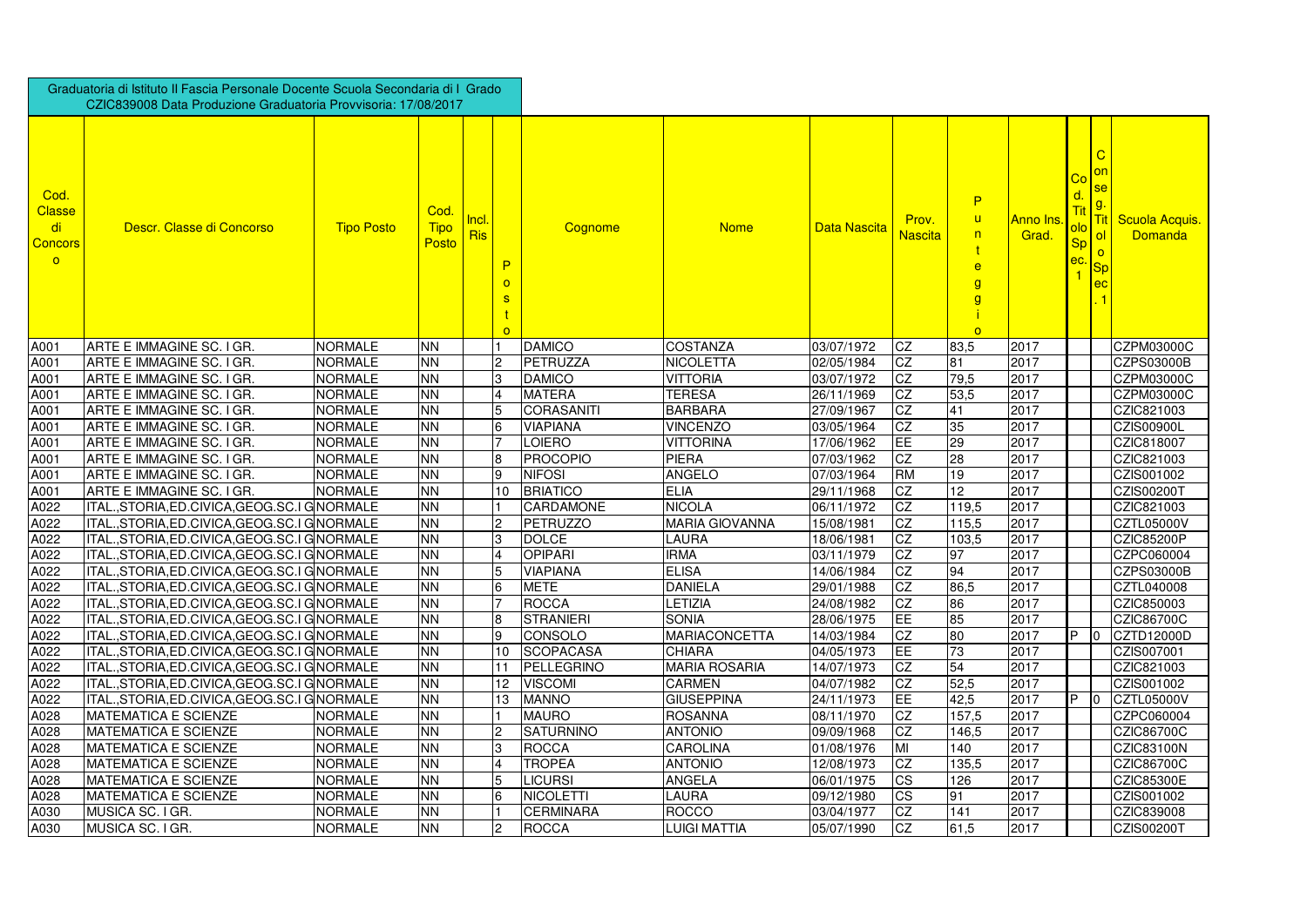|                                                                 | Graduatoria di Istituto II Fascia Personale Docente Scuola Secondaria di I Grado<br>CZIC839008 Data Produzione Graduatoria Provvisoria: 17/08/2017 |                   |                              |                     |                          |                   |                       |              |                         |                                                                                     |                    |                        |                                              |                                               |
|-----------------------------------------------------------------|----------------------------------------------------------------------------------------------------------------------------------------------------|-------------------|------------------------------|---------------------|--------------------------|-------------------|-----------------------|--------------|-------------------------|-------------------------------------------------------------------------------------|--------------------|------------------------|----------------------------------------------|-----------------------------------------------|
| Cod.<br><b>Classe</b><br>di<br><b>Concors</b><br>$\overline{O}$ | Descr. Classe di Concorso                                                                                                                          | <b>Tipo Posto</b> | Cod.<br><b>Tipo</b><br>Posto | Incl.<br><b>Ris</b> | P<br>$\Omega$<br>$\circ$ | Cognome           | <b>Nome</b>           | Data Nascita | Prov.<br><b>Nascita</b> | P<br>$\mathsf{u}$<br>n<br>$\mathbf{e}$<br>$\mathbf{g}$<br>$\overline{g}$<br>$\circ$ | Anno Ins.<br>Grad. | <u>Co</u><br><b>Sp</b> | $\mathbf C$<br>$\overline{\mathsf{O}}$<br>ec | <u> Tit  Scuola Acquis.</u><br><b>Domanda</b> |
| A001                                                            | ARTE E IMMAGINE SC. I GR.                                                                                                                          | <b>NORMALE</b>    | <b>NN</b>                    |                     |                          | <b>DAMICO</b>     | <b>COSTANZA</b>       | 03/07/1972   | CZ                      | 83,5                                                                                | 2017               |                        |                                              | <b>CZPM03000C</b>                             |
| A001                                                            | ARTE E IMMAGINE SC. I GR.                                                                                                                          | <b>NORMALE</b>    | <b>NN</b>                    |                     |                          | PETRUZZA          | <b>NICOLETTA</b>      | 02/05/1984   | CZ                      | 81                                                                                  | 2017               |                        |                                              | CZPS03000B                                    |
| A001                                                            | ARTE E IMMAGINE SC. I GR                                                                                                                           | <b>NORMALE</b>    | <b>NN</b>                    |                     |                          | <b>DAMICO</b>     | <b>VITTORIA</b>       | 03/07/1972   | CZ                      | 79,5                                                                                | 2017               |                        |                                              | CZPM03000C                                    |
| A001                                                            | ARTE E IMMAGINE SC. I GR.                                                                                                                          | <b>NORMALE</b>    | <b>NN</b>                    |                     |                          | <b>MATERA</b>     | <b>TERESA</b>         | 26/11/1969   | CZ                      | 53,5                                                                                | 2017               |                        |                                              | CZPM03000C                                    |
| A001                                                            | ARTE E IMMAGINE SC. I GR.                                                                                                                          | <b>NORMALE</b>    | <b>NN</b>                    |                     |                          | <b>CORASANITI</b> | <b>BARBARA</b>        | 27/09/1967   | CZ                      | 41                                                                                  | 2017               |                        |                                              | CZIC821003                                    |
| A001                                                            | ARTE E IMMAGINE SC. I GR                                                                                                                           | <b>NORMALE</b>    | <b>NN</b>                    |                     |                          | <b>VIAPIANA</b>   | <b>VINCENZO</b>       | 03/05/1964   | CZ                      | 35                                                                                  | 2017               |                        |                                              | CZIS00900L                                    |
| A001                                                            | ARTE E IMMAGINE SC. I GR                                                                                                                           | <b>NORMALE</b>    | <b>NN</b>                    |                     |                          | LOIERO            | <b>VITTORINA</b>      | 17/06/1962   | EE                      | 29                                                                                  | 2017               |                        |                                              | CZIC818007                                    |
| A001                                                            | ARTE E IMMAGINE SC. I GR.                                                                                                                          | <b>NORMALE</b>    | <b>NN</b>                    |                     | 18                       | <b>PROCOPIO</b>   | <b>PIERA</b>          | 07/03/1962   | CZ                      | 28                                                                                  | 2017               |                        |                                              | CZIC821003                                    |
| A001                                                            | ARTE E IMMAGINE SC. I GR.                                                                                                                          | <b>NORMALE</b>    | <b>NN</b>                    |                     | 19                       | <b>NIFOSI</b>     | <b>ANGELO</b>         | 07/03/1964   | <b>RM</b>               | 19                                                                                  | 2017               |                        |                                              | CZIS001002                                    |
| A001                                                            | ARTE E IMMAGINE SC. I GR.                                                                                                                          | <b>NORMALE</b>    | <b>NN</b>                    |                     | 10                       | <b>BRIATICO</b>   | <b>ELIA</b>           | 29/11/1968   | CZ                      | 12                                                                                  | 2017               |                        |                                              | CZIS00200T                                    |
| A022                                                            | ITAL., STORIA, ED. CIVICA, GEOG. SC. I GNORMALE                                                                                                    |                   | <b>NN</b>                    |                     |                          | <b>CARDAMONE</b>  | <b>NICOLA</b>         | 06/11/1972   | CZ                      | 119,5                                                                               | 2017               |                        |                                              | CZIC821003                                    |
| A022                                                            | ITAL., STORIA, ED. CIVICA, GEOG. SC. I GNORMALE                                                                                                    |                   | <b>NN</b>                    |                     |                          | PETRUZZO          | <b>MARIA GIOVANNA</b> | 15/08/1981   | CZ                      | 115,5                                                                               | 2017               |                        |                                              | <b>CZTL05000V</b>                             |
| A022                                                            | ITAL.,STORIA,ED.CIVICA,GEOG.SC.I GINORMALE                                                                                                         |                   | <b>NN</b>                    |                     |                          | <b>DOLCE</b>      | LAURA                 | 18/06/1981   | CZ                      | 103,5                                                                               | 2017               |                        |                                              | <b>CZIC85200P</b>                             |
| A022                                                            | ITAL.,STORIA,ED.CIVICA,GEOG.SC.I GNORMALE                                                                                                          |                   | <b>NN</b>                    |                     |                          | <b>OPIPARI</b>    | <b>IRMA</b>           | 03/11/1979   | CZ                      | 97                                                                                  | 2017               |                        |                                              | CZPC060004                                    |
| A022                                                            | ITAL., STORIA, ED. CIVICA, GEOG. SC. I GNORMALE                                                                                                    |                   | [NN]                         |                     |                          | <b>VIAPIANA</b>   | <b>ELISA</b>          | 14/06/1984   | ICZ                     | 94                                                                                  | 2017               |                        |                                              | CZPS03000B                                    |
| A022                                                            | ITAL., STORIA, ED. CIVICA, GEOG. SC. I GNORMALE                                                                                                    |                   | <b>NN</b>                    |                     |                          | <b>METE</b>       | <b>DANIELA</b>        | 29/01/1988   | CZ                      | 86.5                                                                                | 2017               |                        |                                              | <b>CZTL040008</b>                             |
| A022                                                            | ITAL., STORIA, ED. CIVICA, GEOG. SC. I GINORMALE                                                                                                   |                   | <b>NN</b>                    |                     |                          | <b>ROCCA</b>      | LETIZIA               | 24/08/1982   | CZ                      | 86                                                                                  | 2017               |                        |                                              | CZIC850003                                    |
| A022                                                            | ITAL., STORIA, ED. CIVICA, GEOG. SC. I GNORMALE                                                                                                    |                   | <b>NN</b>                    |                     |                          | <b>STRANIERI</b>  | <b>SONIA</b>          | 28/06/1975   | EE                      | 85                                                                                  | 2017               |                        |                                              | <b>CZIC86700C</b>                             |
| A022                                                            | ITAL.,STORIA,ED.CIVICA,GEOG.SC.I GINORMALE                                                                                                         |                   | <b>NN</b>                    |                     |                          | <b>CONSOLO</b>    | <b>MARIACONCETTA</b>  | 14/03/1984   | CZ                      | 80                                                                                  | 2017               | <b>P</b>               |                                              | CZTD12000D                                    |
| A022                                                            | ITAL.,STORIA,ED.CIVICA,GEOG.SC.I GNORMALE                                                                                                          |                   | <b>NN</b>                    |                     | 10                       | <b>SCOPACASA</b>  | <b>CHIARA</b>         | 04/05/1973   | EE                      | 73                                                                                  | 2017               |                        |                                              | CZIS007001                                    |
| A022                                                            | ITAL., STORIA, ED. CIVICA, GEOG. SC. I GINORMALE                                                                                                   |                   | <b>NN</b>                    |                     |                          | PELLEGRINO        | <b>MARIA ROSARIA</b>  | 14/07/1973   | <b>CZ</b>               | 54                                                                                  | 2017               |                        |                                              | CZIC821003                                    |
| A022                                                            | ITAL., STORIA, ED. CIVICA, GEOG. SC. I GINORMALE                                                                                                   |                   | <b>NN</b>                    |                     | 12.                      | <b>VISCOMI</b>    | <b>CARMEN</b>         | 04/07/1982   | CZ                      | 52,5                                                                                | 2017               |                        |                                              | CZIS001002                                    |
| A022                                                            | ITAL., STORIA, ED. CIVICA, GEOG. SC. I GNORMALE                                                                                                    |                   | <b>NN</b>                    |                     | 13.                      | <b>MANNO</b>      | <b>GIUSEPPINA</b>     | 24/11/1973   | EE                      | 42,5                                                                                | 2017               | P                      | $\overline{0}$                               | <b>CZTL05000V</b>                             |
| A028                                                            | <b>MATEMATICA E SCIENZE</b>                                                                                                                        | <b>NORMALE</b>    | <b>NN</b>                    |                     |                          | <b>MAURO</b>      | <b>ROSANNA</b>        | 08/11/1970   | CZ                      | 157,5                                                                               | 2017               |                        |                                              | CZPC060004                                    |
| A028                                                            | <b>MATEMATICA E SCIENZE</b>                                                                                                                        | <b>NORMALE</b>    | <b>NN</b>                    |                     |                          | <b>SATURNINO</b>  | <b>ANTONIO</b>        | 09/09/1968   | CZ                      | 146,5                                                                               | 2017               |                        |                                              | <b>CZIC86700C</b>                             |
| A028                                                            | <b>MATEMATICA E SCIENZE</b>                                                                                                                        | <b>NORMALE</b>    | <b>NN</b>                    |                     |                          | <b>ROCCA</b>      | <b>CAROLINA</b>       | 01/08/1976   | MI                      | 140                                                                                 | 2017               |                        |                                              | <b>CZIC83100N</b>                             |
| A028                                                            | <b>MATEMATICA E SCIENZE</b>                                                                                                                        | <b>NORMALE</b>    | <b>NN</b>                    |                     |                          | <b>TROPEA</b>     | <b>ANTONIO</b>        | 12/08/1973   | <b>CZ</b>               | 135,5                                                                               | 2017               |                        |                                              | <b>CZIC86700C</b>                             |
| A028                                                            | <b>MATEMATICA E SCIENZE</b>                                                                                                                        | <b>NORMALE</b>    | <b>NN</b>                    |                     |                          | LICURSI           | <b>ANGELA</b>         | 06/01/1975   | <b>CS</b>               | 126                                                                                 | 2017               |                        |                                              | <b>CZIC85300E</b>                             |
| A028                                                            | <b>MATEMATICA E SCIENZE</b>                                                                                                                        | <b>NORMALE</b>    | <b>NN</b>                    |                     |                          | <b>NICOLETTI</b>  | LAURA                 | 09/12/1980   | <b>CS</b>               | 91                                                                                  | 2017               |                        |                                              | CZIS001002                                    |
| A030                                                            | <b>MUSICA SC. IGR.</b>                                                                                                                             | <b>NORMALE</b>    | <b>NN</b>                    |                     |                          | <b>CERMINARA</b>  | <b>ROCCO</b>          | 03/04/1977   | <b>CZ</b>               | 141                                                                                 | 2017               |                        |                                              | CZIC839008                                    |
| A030                                                            | MUSICA SC. I GR.                                                                                                                                   | <b>NORMALE</b>    | <b>NN</b>                    |                     |                          | <b>ROCCA</b>      | <b>LUIGI MATTIA</b>   | 05/07/1990   | <b>CZ</b>               | 61,5                                                                                | 2017               |                        |                                              | CZIS00200T                                    |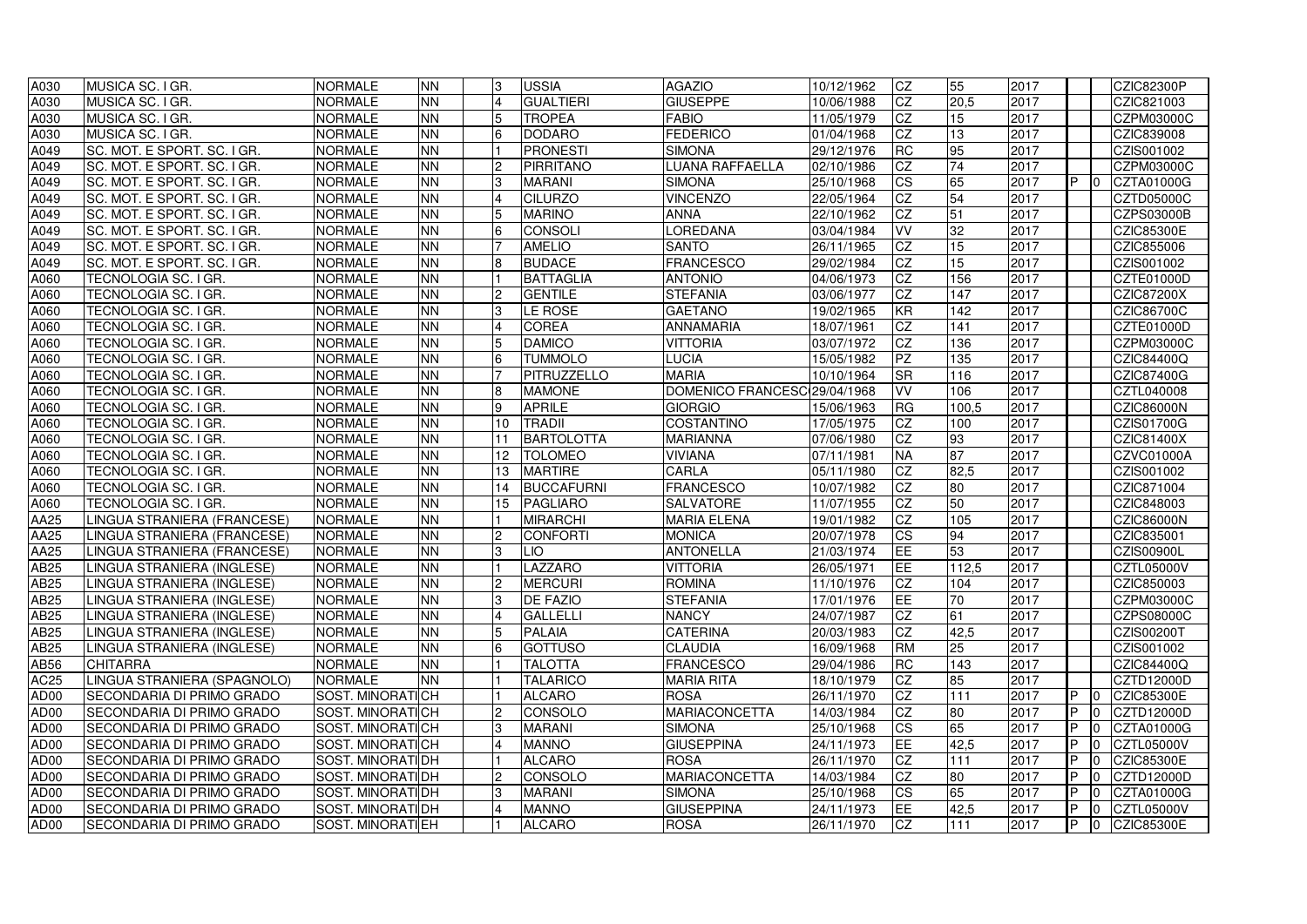| A030             | MUSICA SC. I GR.                 | <b>NORMALE</b>          | <b>NN</b>  |     | USSIA             | <b>AGAZIO</b>                | 10/12/1962 | <b>CZ</b>   | 55    | 2017 |              |                | <b>CZIC82300P</b> |
|------------------|----------------------------------|-------------------------|------------|-----|-------------------|------------------------------|------------|-------------|-------|------|--------------|----------------|-------------------|
| A030             | MUSICA SC. I GR.                 | NORMALE                 | <b>NN</b>  |     | <b>GUALTIERI</b>  | <b>GIUSEPPE</b>              | 10/06/1988 | <b>CZ</b>   | 20,5  | 2017 |              |                | CZIC821003        |
| A030             | MUSICA SC. I GR.                 | <b>NORMALE</b>          | <b>NN</b>  |     | <b>TROPEA</b>     | <b>FABIO</b>                 | 11/05/1979 | <b>CZ</b>   | 15    | 2017 |              |                | <b>CZPM03000C</b> |
| A030             | MUSICA SC. I GR.                 | NORMALE                 | <b>NN</b>  |     | <b>DODARO</b>     | <b>FEDERICO</b>              | 01/04/1968 | CZ          | 13    | 2017 |              |                | CZIC839008        |
| A049             | SC. MOT. E SPORT. SC. I GR.      | NORMALE                 | <b>NN</b>  |     | <b>PRONESTI</b>   | <b>SIMONA</b>                | 29/12/1976 | <b>RC</b>   | 95    | 2017 |              |                | CZIS001002        |
| A049             | SC. MOT. E SPORT. SC. I GR.      | NORMALE                 | <b>NN</b>  |     | <b>PIRRITANO</b>  | LUANA RAFFAELLA              | 02/10/1986 | <b>CZ</b>   | 74    | 2017 |              |                | CZPM03000C        |
| A049             | SC. MOT. E SPORT. SC. I GR.      | NORMALE                 | <b>NN</b>  |     | <b>MARANI</b>     | <b>SIMONA</b>                | 25/10/1968 | <b>CS</b>   | 65    | 2017 | IP.          |                | CZTA01000G        |
| A049             | SC. MOT. E SPORT. SC. I GR.      | <b>NORMALE</b>          | <b>NN</b>  |     | <b>CILURZO</b>    | <b>VINCENZO</b>              | 22/05/1964 | <b>CZ</b>   | 54    | 2017 |              |                | CZTD05000C        |
| A049             | SC. MOT. E SPORT. SC. I GR.      | NORMALE                 | <b>NN</b>  |     | <b>MARINO</b>     | <b>ANNA</b>                  | 22/10/1962 | <b>CZ</b>   | 51    | 2017 |              |                | <b>CZPS03000B</b> |
| A049             | SC. MOT. E SPORT. SC. I GR.      | NORMALE                 | <b>NN</b>  |     | <b>CONSOLI</b>    | <b>OREDANA</b>               | 03/04/1984 | VV          | 32    | 2017 |              |                | <b>CZIC85300E</b> |
| A049             | SC. MOT. E SPORT. SC. I GR.      | NORMALE                 | <b>NN</b>  |     | <b>AMELIO</b>     | <b>SANTO</b>                 | 26/11/1965 | CZ          | 15    | 2017 |              |                | CZIC855006        |
| A049             | SC. MOT. E SPORT. SC. I GR.      | <b>NORMALE</b>          | <b>NN</b>  |     | <b>BUDACE</b>     | <b>FRANCESCO</b>             | 29/02/1984 | <b>CZ</b>   | 15    | 2017 |              |                | CZIS001002        |
| A060             | <b>TECNOLOGIA SC. I GR.</b>      | NORMALE                 | <b>NN</b>  |     | <b>BATTAGLIA</b>  | <b>ANTONIO</b>               | 04/06/1973 | <b>CZ</b>   | 156   | 2017 |              |                | <b>CZTE01000D</b> |
| A060             | <b>TECNOLOGIA SC. I GR.</b>      | NORMALE                 | <b>NN</b>  |     | <b>GENTILE</b>    | <b>STEFANIA</b>              | 03/06/1977 | <b>CZ</b>   | 147   | 2017 |              |                | <b>CZIC87200X</b> |
| A060             | <b>TECNOLOGIA SC. I GR.</b>      | NORMALE                 | <b>NN</b>  |     | <b>LE ROSE</b>    | <b>GAETANO</b>               | 19/02/1965 | <b>KR</b>   | 142   | 2017 |              |                | <b>CZIC86700C</b> |
| A060             | <b>TECNOLOGIA SC. I GR.</b>      | NORMALE                 | <b>NN</b>  |     | <b>COREA</b>      | <b>ANNAMARIA</b>             | 18/07/1961 | <b>CZ</b>   | 141   | 2017 |              |                | <b>CZTE01000D</b> |
| A060             | <b>TECNOLOGIA SC. I GR.</b>      | <b>NORMALE</b>          | <b>NN</b>  |     | <b>DAMICO</b>     | <b>VITTORIA</b>              | 03/07/1972 | <b>CZ</b>   | 136   | 2017 |              |                | <b>CZPM03000C</b> |
| A060             | <b>TECNOLOGIA SC. I GR.</b>      | NORMALE                 | <b>NN</b>  |     | <b>TUMMOLO</b>    | LUCIA                        | 15/05/1982 | <b>PZ</b>   | 135   | 2017 |              |                | CZIC84400Q        |
| A060             | <b>TECNOLOGIA SC. I GR.</b>      | <b>NORMALE</b>          | <b>NN</b>  |     | PITRUZZELLO       | <b>MARIA</b>                 | 10/10/1964 | <b>SR</b>   | 116   | 2017 |              |                | CZIC87400G        |
| A060             | <b>TECNOLOGIA SC. I GR.</b>      | NORMALE                 | <b>NN</b>  |     | <b>MAMONE</b>     | DOMENICO FRANCESC 29/04/1968 |            | VV          | 106   | 2017 |              |                | CZTL040008        |
| A060             | <b>TECNOLOGIA SC. I GR.</b>      | NORMALE                 | <b>NN</b>  |     | <b>APRILE</b>     | <b>GIORGIO</b>               | 15/06/1963 | <b>RG</b>   | 100,5 | 2017 |              |                | <b>CZIC86000N</b> |
| A060             | <b>TECNOLOGIA SC. I GR.</b>      | NORMALE                 | <b>NN</b>  | 10  | <b>TRADII</b>     | <b>COSTANTINO</b>            | 17/05/1975 | <b>CZ</b>   | 100   | 2017 |              |                | CZIS01700G        |
| A060             | <b>TECNOLOGIA SC. I GR.</b>      | NORMALE                 | <b>NN</b>  |     | <b>BARTOLOTTA</b> | <b>MARIANNA</b>              | 07/06/1980 | <b>CZ</b>   | 93    | 2017 |              |                | <b>CZIC81400X</b> |
| A060             | <b>TECNOLOGIA SC. I GR.</b>      | NORMALE                 | <b>NN</b>  | 12. | <b>TOLOMEO</b>    | <b>VIVIANA</b>               | 07/11/1981 | <b>NA</b>   | 87    | 2017 |              |                | <b>CZVC01000A</b> |
| A060             | <b>TECNOLOGIA SC. I GR.</b>      | NORMALE                 | <b>NN</b>  | 13  | <b>MARTIRE</b>    | <b>CARLA</b>                 | 05/11/1980 | <b>CZ</b>   | 82,5  | 2017 |              |                | CZIS001002        |
| A060             | <b>TECNOLOGIA SC. I GR.</b>      | NORMALE                 | <b>NN</b>  |     | <b>BUCCAFURNI</b> | FRANCESCO                    | 10/07/1982 | <b>CZ</b>   | 80    | 2017 |              |                | CZIC871004        |
| A060             | <b>TECNOLOGIA SC. I GR.</b>      | NORMALE                 | <b>NN</b>  | 15  | <b>PAGLIARO</b>   | <b>SALVATORE</b>             | 11/07/1955 | <b>CZ</b>   | 50    | 2017 |              |                | CZIC848003        |
| <b>AA25</b>      | LINGUA STRANIERA (FRANCESE)      | NORMALE                 | <b>NN</b>  |     | <b>MIRARCHI</b>   | <b>MARIA ELENA</b>           | 19/01/1982 | <b>CZ</b>   | 105   | 2017 |              |                | <b>CZIC86000N</b> |
| AA25             | LINGUA STRANIERA (FRANCESE)      | <b>NORMALE</b>          | <b>NN</b>  |     | <b>CONFORTI</b>   | <b>MONICA</b>                | 20/07/1978 | <b>CS</b>   | 94    | 2017 |              |                | CZIC835001        |
| AA25             | LINGUA STRANIERA (FRANCESE)      | <b>NORMALE</b>          | <b>NN</b>  |     | <b>LIO</b>        | <b>ANTONELLA</b>             | 21/03/1974 | lEE         | 53    | 2017 |              |                | <b>CZIS00900L</b> |
| <b>AB25</b>      | LINGUA STRANIERA (INGLESE)       | <b>NORMALE</b>          | <b>NN</b>  |     | LAZZARO           | <b>VITTORIA</b>              | 26/05/1971 | IEE.<br>-⊢– | 112,5 | 2017 |              |                | CZTL05000V        |
| AB25             | LINGUA STRANIERA (INGLESE)       | <b>NORMALE</b>          | <b>NN</b>  |     | <b>MERCURI</b>    | <b>ROMINA</b>                | 11/10/1976 | <b>CZ</b>   | 104   | 2017 |              |                | CZIC850003        |
| AB25             | LINGUA STRANIERA (INGLESE)       | <b>NORMALE</b>          | <b>INN</b> |     | <b>DE FAZIO</b>   | <b>STEFANIA</b>              | 17/01/1976 | <b>IEE</b>  | 70    | 2017 |              |                | <b>CZPM03000C</b> |
| <b>AB25</b>      | LINGUA STRANIERA (INGLESE)       | <b>NORMALE</b>          | <b>NN</b>  |     | <b>GALLELLI</b>   | <b>NANCY</b>                 | 24/07/1987 | <b>CZ</b>   | 61    | 2017 |              |                | CZPS08000C        |
| <b>AB25</b>      | LINGUA STRANIERA (INGLESE)       | <b>NORMALE</b>          | <b>NN</b>  |     | <b>PALAIA</b>     | <b>CATERINA</b>              | 20/03/1983 | <b>CZ</b>   | 42,5  | 2017 |              |                | CZIS00200T        |
| <b>AB25</b>      | LINGUA STRANIERA (INGLESE)       | <b>NORMALE</b>          | <b>NN</b>  |     | <b>GOTTUSO</b>    | <b>CLAUDIA</b>               | 16/09/1968 | <b>RM</b>   | 25    | 2017 |              |                | CZIS001002        |
| AB56             | <b>CHITARRA</b>                  | NORMALE                 | <b>NN</b>  |     | <b>TALOTTA</b>    | <b>FRANCESCO</b>             | 29/04/1986 | <b>RC</b>   | 143   | 2017 |              |                | <b>CZIC84400Q</b> |
| <b>AC25</b>      | LINGUA STRANIERA (SPAGNOLO)      | <b>NORMALE</b>          | <b>NN</b>  |     | <b>TALARICO</b>   | <b>MARIA RITA</b>            | 18/10/1979 | CZ          | 85    | 2017 |              |                | <b>CZTD12000D</b> |
| AD00             | SECONDARIA DI PRIMO GRADO        | <b>SOST. MINORATICH</b> |            |     | <b>ALCARO</b>     | <b>ROSA</b>                  | 26/11/1970 | <b>CZ</b>   | 111   | 2017 | IP.          |                | CZIC85300E        |
| AD00             | SECONDARIA DI PRIMO GRADO        | SOST. MINORATICH        |            |     | <b>CONSOLO</b>    | <b>MARIACONCETTA</b>         | 14/03/1984 | CZ          | 80    | 2017 | IP.          |                | CZTD12000D        |
| AD <sub>00</sub> | SECONDARIA DI PRIMO GRADO        | SOST. MINORATICH        |            |     | <b>MARANI</b>     | <b>SIMONA</b>                | 25/10/1968 | <b>CS</b>   | 65    | 2017 | IP.          |                | CZTA01000G        |
| AD <sub>00</sub> | SECONDARIA DI PRIMO GRADO        | <b>SOST. MINORATICH</b> |            |     | <b>MANNO</b>      | <b>GIUSEPPINA</b>            | 24/11/1973 | EE          | 42,5  | 2017 | IP.          |                | <b>CZTL05000V</b> |
| AD00             | SECONDARIA DI PRIMO GRADO        | <b>SOST. MINORATIOH</b> |            |     | <b>ALCARO</b>     | <b>ROSA</b>                  | 26/11/1970 | <b>CZ</b>   | 111   | 2017 | $\mathsf{P}$ |                | <b>CZIC85300E</b> |
| AD00             | SECONDARIA DI PRIMO GRADO        | SOST. MINORATIOH        |            |     | <b>CONSOLO</b>    | <b>MARIACONCETTA</b>         | 14/03/1984 | CZ          | 80    | 2017 | IP.          |                | CZTD12000D        |
| AD00             | SECONDARIA DI PRIMO GRADO        | SOST. MINORATIOH        |            |     | <b>MARANI</b>     | <b>SIMONA</b>                | 25/10/1968 | <b>CS</b>   | 65    | 2017 | IP.          |                | CZTA01000G        |
| AD00             | SECONDARIA DI PRIMO GRADO        | SOST. MINORATIOH        |            |     | <b>MANNO</b>      | <b>GIUSEPPINA</b>            | 24/11/1973 | <b>EE</b>   | 42,5  | 2017 | IP.          |                | CZTL05000V        |
| AD00             | <b>SECONDARIA DI PRIMO GRADO</b> | SOST. MINORATIEH        |            |     | <b>ALCARO</b>     | <b>ROSA</b>                  | 26/11/1970 | <b>CZ</b>   | 111   | 2017 | IP.          | $\overline{0}$ | <b>CZIC85300E</b> |